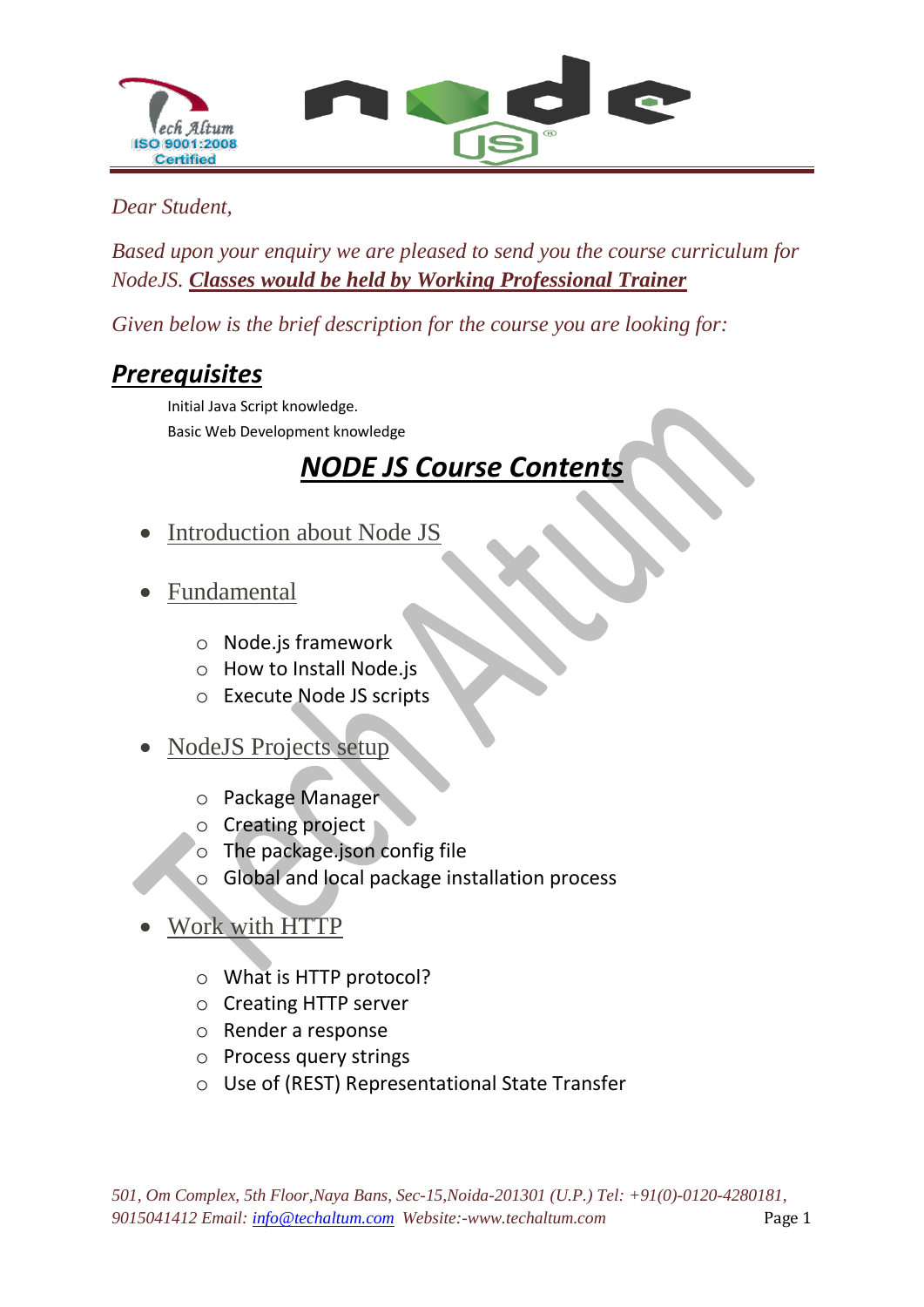

#### *Dear Student,*

*Based upon your enquiry we are pleased to send you the course curriculum for NodeJS. Classes would be held by Working Professional Trainer*

*Given below is the brief description for the course you are looking for:*

## *Prerequisites*

Initial Java Script knowledge. Basic Web Development knowledge

# *NODE JS Course Contents*

- Introduction about Node JS
- Fundamental
	- o Node.js framework
	- o How to Install Node.js
	- o Execute Node JS scripts

### NodeJS Projects setup

- o Package Manager
- o Creating project
- o The package.json config file
- o Global and local package installation process
- Work with HTTP
	- o What is HTTP protocol?
	- o Creating HTTP server
	- o Render a response
	- o Process query strings
	- o Use of (REST) Representational State Transfer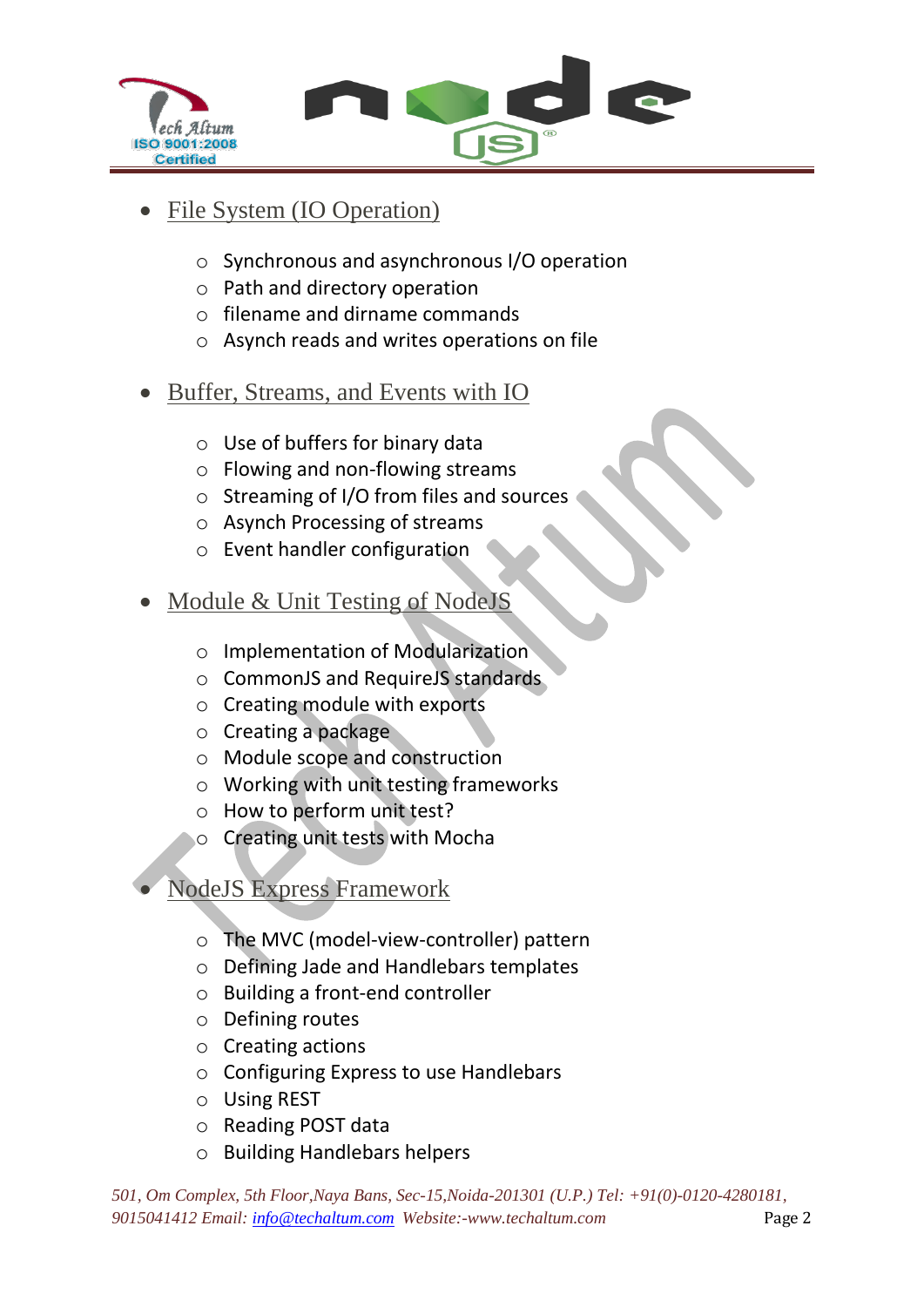

### File System (IO Operation)

- o Synchronous and asynchronous I/O operation
- o Path and directory operation
- o filename and dirname commands
- o Asynch reads and writes operations on file
- Buffer, Streams, and Events with IO
	- o Use of buffers for binary data
	- o Flowing and non-flowing streams
	- o Streaming of I/O from files and sources
	- o Asynch Processing of streams
	- o Event handler configuration
- Module & Unit Testing of NodeJS
	- o Implementation of Modularization
	- o CommonJS and RequireJS standards
	- o Creating module with exports
	- o Creating a package
	- o Module scope and construction
	- o Working with unit testing frameworks
	- o How to perform unit test?
	- o Creating unit tests with Mocha

NodeJS Express Framework

- o The MVC (model-view-controller) pattern
- o Defining Jade and Handlebars templates
- o Building a front-end controller
- o Defining routes
- o Creating actions
- o Configuring Express to use Handlebars
- o Using REST
- o Reading POST data
- o Building Handlebars helpers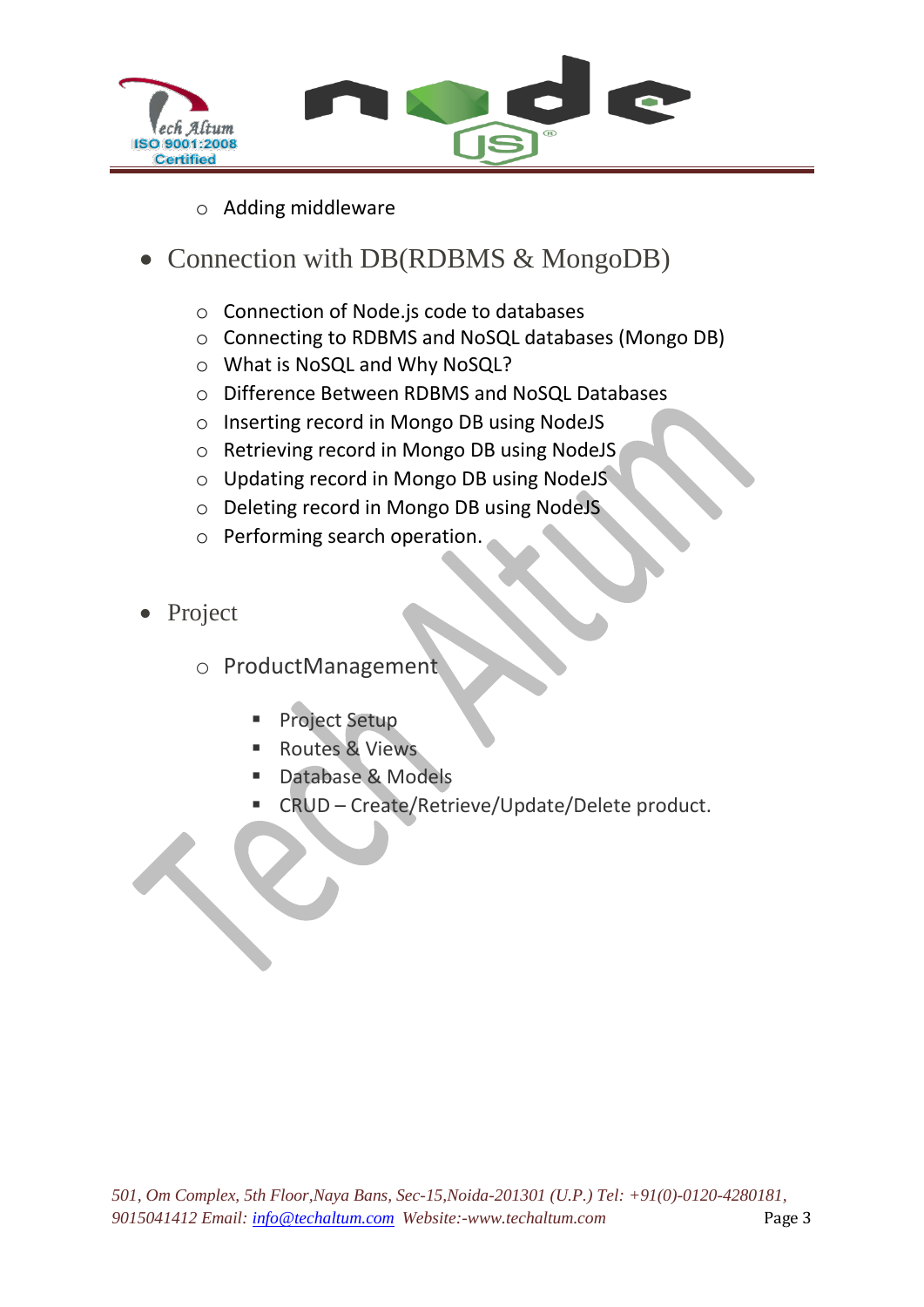

- o Adding middleware
- Connection with DB(RDBMS & MongoDB)
	- o Connection of Node.js code to databases
	- o Connecting to RDBMS and NoSQL databases (Mongo DB)
	- o What is NoSQL and Why NoSQL?
	- o Difference Between RDBMS and NoSQL Databases
	- o Inserting record in Mongo DB using NodeJS
	- o Retrieving record in Mongo DB using NodeJS
	- o Updating record in Mongo DB using NodeJS
	- o Deleting record in Mongo DB using NodeJS
	- o Performing search operation.
- Project
	- o ProductManagement
		- Project Setup
		- Routes & Views
		- Database & Models
		- CRUD Create/Retrieve/Update/Delete product.